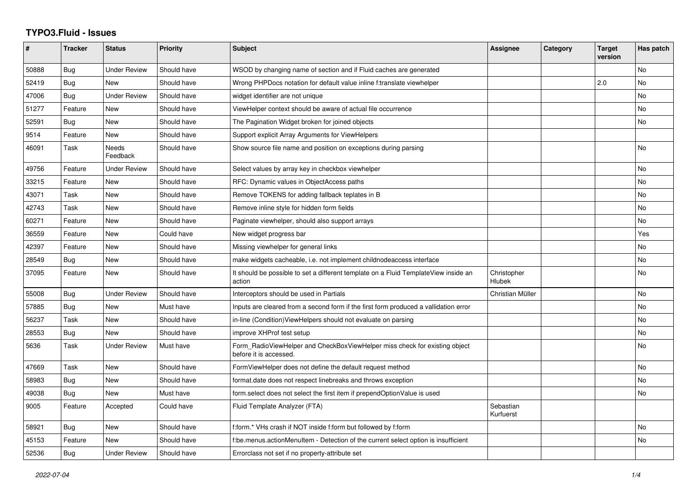## **TYPO3.Fluid - Issues**

| #     | <b>Tracker</b> | <b>Status</b>            | <b>Priority</b> | <b>Subject</b>                                                                                       | Assignee               | Category | <b>Target</b><br>version | Has patch      |
|-------|----------------|--------------------------|-----------------|------------------------------------------------------------------------------------------------------|------------------------|----------|--------------------------|----------------|
| 50888 | Bug            | <b>Under Review</b>      | Should have     | WSOD by changing name of section and if Fluid caches are generated                                   |                        |          |                          | No             |
| 52419 | Bug            | <b>New</b>               | Should have     | Wrong PHPDocs notation for default value inline f:translate viewhelper                               |                        |          | 2.0                      | No             |
| 47006 | Bug            | <b>Under Review</b>      | Should have     | widget identifier are not unique                                                                     |                        |          |                          | No             |
| 51277 | Feature        | New                      | Should have     | ViewHelper context should be aware of actual file occurrence                                         |                        |          |                          | No             |
| 52591 | Bug            | <b>New</b>               | Should have     | The Pagination Widget broken for joined objects                                                      |                        |          |                          | No             |
| 9514  | Feature        | <b>New</b>               | Should have     | Support explicit Array Arguments for ViewHelpers                                                     |                        |          |                          |                |
| 46091 | Task           | <b>Needs</b><br>Feedback | Should have     | Show source file name and position on exceptions during parsing                                      |                        |          |                          | No             |
| 49756 | Feature        | <b>Under Review</b>      | Should have     | Select values by array key in checkbox viewhelper                                                    |                        |          |                          | No             |
| 33215 | Feature        | <b>New</b>               | Should have     | RFC: Dynamic values in ObjectAccess paths                                                            |                        |          |                          | <b>No</b>      |
| 43071 | Task           | <b>New</b>               | Should have     | Remove TOKENS for adding fallback teplates in B                                                      |                        |          |                          | No             |
| 42743 | Task           | New                      | Should have     | Remove inline style for hidden form fields                                                           |                        |          |                          | No             |
| 60271 | Feature        | New                      | Should have     | Paginate viewhelper, should also support arrays                                                      |                        |          |                          | No.            |
| 36559 | Feature        | <b>New</b>               | Could have      | New widget progress bar                                                                              |                        |          |                          | Yes            |
| 42397 | Feature        | <b>New</b>               | Should have     | Missing viewhelper for general links                                                                 |                        |          |                          | N <sub>o</sub> |
| 28549 | Bug            | <b>New</b>               | Should have     | make widgets cacheable, i.e. not implement childnodeaccess interface                                 |                        |          |                          | No             |
| 37095 | Feature        | New                      | Should have     | It should be possible to set a different template on a Fluid TemplateView inside an<br>action        | Christopher<br>Hlubek  |          |                          | No.            |
| 55008 | Bug            | <b>Under Review</b>      | Should have     | Interceptors should be used in Partials                                                              | Christian Müller       |          |                          | No             |
| 57885 | Bug            | <b>New</b>               | Must have       | Inputs are cleared from a second form if the first form produced a vallidation error                 |                        |          |                          | No             |
| 56237 | Task           | New                      | Should have     | in-line (Condition) View Helpers should not evaluate on parsing                                      |                        |          |                          | No             |
| 28553 | Bug            | <b>New</b>               | Should have     | improve XHProf test setup                                                                            |                        |          |                          | No             |
| 5636  | Task           | <b>Under Review</b>      | Must have       | Form_RadioViewHelper and CheckBoxViewHelper miss check for existing object<br>before it is accessed. |                        |          |                          | No             |
| 47669 | Task           | <b>New</b>               | Should have     | FormViewHelper does not define the default request method                                            |                        |          |                          | No             |
| 58983 | Bug            | <b>New</b>               | Should have     | format.date does not respect linebreaks and throws exception                                         |                        |          |                          | No             |
| 49038 | Bug            | <b>New</b>               | Must have       | form select does not select the first item if prependOptionValue is used                             |                        |          |                          | No             |
| 9005  | Feature        | Accepted                 | Could have      | Fluid Template Analyzer (FTA)                                                                        | Sebastian<br>Kurfuerst |          |                          |                |
| 58921 | Bug            | <b>New</b>               | Should have     | f:form.* VHs crash if NOT inside f:form but followed by f:form                                       |                        |          |                          | <b>No</b>      |
| 45153 | Feature        | <b>New</b>               | Should have     | f:be.menus.actionMenuItem - Detection of the current select option is insufficient                   |                        |          |                          | No             |
| 52536 | Bug            | <b>Under Review</b>      | Should have     | Errorclass not set if no property-attribute set                                                      |                        |          |                          |                |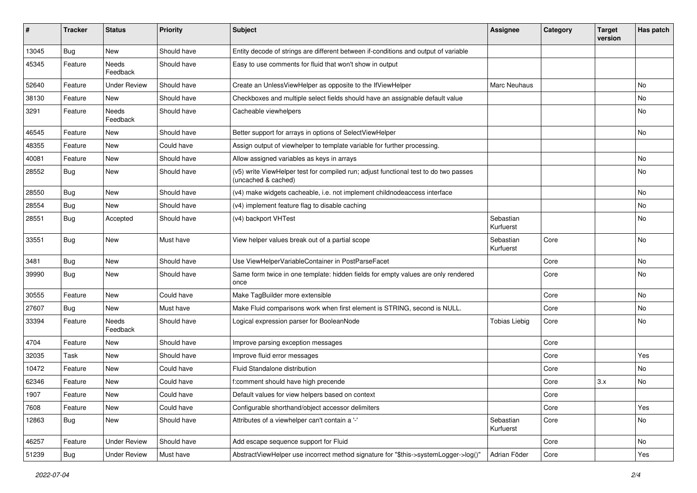| #     | <b>Tracker</b> | <b>Status</b>       | <b>Priority</b> | <b>Subject</b>                                                                                              | <b>Assignee</b>        | Category | <b>Target</b><br>version | Has patch |
|-------|----------------|---------------------|-----------------|-------------------------------------------------------------------------------------------------------------|------------------------|----------|--------------------------|-----------|
| 13045 | Bug            | New                 | Should have     | Entity decode of strings are different between if-conditions and output of variable                         |                        |          |                          |           |
| 45345 | Feature        | Needs<br>Feedback   | Should have     | Easy to use comments for fluid that won't show in output                                                    |                        |          |                          |           |
| 52640 | Feature        | <b>Under Review</b> | Should have     | Create an UnlessViewHelper as opposite to the IfViewHelper                                                  | Marc Neuhaus           |          |                          | No        |
| 38130 | Feature        | New                 | Should have     | Checkboxes and multiple select fields should have an assignable default value                               |                        |          |                          | No        |
| 3291  | Feature        | Needs<br>Feedback   | Should have     | Cacheable viewhelpers                                                                                       |                        |          |                          | No        |
| 46545 | Feature        | New                 | Should have     | Better support for arrays in options of SelectViewHelper                                                    |                        |          |                          | No        |
| 48355 | Feature        | <b>New</b>          | Could have      | Assign output of viewhelper to template variable for further processing.                                    |                        |          |                          |           |
| 40081 | Feature        | New                 | Should have     | Allow assigned variables as keys in arrays                                                                  |                        |          |                          | No        |
| 28552 | <b>Bug</b>     | New                 | Should have     | (v5) write ViewHelper test for compiled run; adjust functional test to do two passes<br>(uncached & cached) |                        |          |                          | No        |
| 28550 | Bug            | <b>New</b>          | Should have     | (v4) make widgets cacheable, i.e. not implement childnodeaccess interface                                   |                        |          |                          | No        |
| 28554 | Bug            | <b>New</b>          | Should have     | (v4) implement feature flag to disable caching                                                              |                        |          |                          | <b>No</b> |
| 28551 | Bug            | Accepted            | Should have     | (v4) backport VHTest                                                                                        | Sebastian<br>Kurfuerst |          |                          | No        |
| 33551 | Bug            | <b>New</b>          | Must have       | View helper values break out of a partial scope                                                             | Sebastian<br>Kurfuerst | Core     |                          | No        |
| 3481  | Bug            | <b>New</b>          | Should have     | Use ViewHelperVariableContainer in PostParseFacet                                                           |                        | Core     |                          | No        |
| 39990 | Bug            | <b>New</b>          | Should have     | Same form twice in one template: hidden fields for empty values are only rendered<br>once                   |                        | Core     |                          | No        |
| 30555 | Feature        | New                 | Could have      | Make TagBuilder more extensible                                                                             |                        | Core     |                          | <b>No</b> |
| 27607 | Bug            | New                 | Must have       | Make Fluid comparisons work when first element is STRING, second is NULL.                                   |                        | Core     |                          | No        |
| 33394 | Feature        | Needs<br>Feedback   | Should have     | Logical expression parser for BooleanNode                                                                   | <b>Tobias Liebig</b>   | Core     |                          | No        |
| 4704  | Feature        | New                 | Should have     | Improve parsing exception messages                                                                          |                        | Core     |                          |           |
| 32035 | Task           | New                 | Should have     | Improve fluid error messages                                                                                |                        | Core     |                          | Yes       |
| 10472 | Feature        | New                 | Could have      | Fluid Standalone distribution                                                                               |                        | Core     |                          | No        |
| 62346 | Feature        | New                 | Could have      | f:comment should have high precende                                                                         |                        | Core     | 3.x                      | No        |
| 1907  | Feature        | New                 | Could have      | Default values for view helpers based on context                                                            |                        | Core     |                          |           |
| 7608  | Feature        | New                 | Could have      | Configurable shorthand/object accessor delimiters                                                           |                        | Core     |                          | Yes       |
| 12863 | Bug            | New                 | Should have     | Attributes of a viewhelper can't contain a '-'                                                              | Sebastian<br>Kurfuerst | Core     |                          | No        |
| 46257 | Feature        | <b>Under Review</b> | Should have     | Add escape sequence support for Fluid                                                                       |                        | Core     |                          | No        |
| 51239 | <b>Bug</b>     | <b>Under Review</b> | Must have       | AbstractViewHelper use incorrect method signature for "\$this->systemLogger->log()"                         | Adrian Föder           | Core     |                          | Yes       |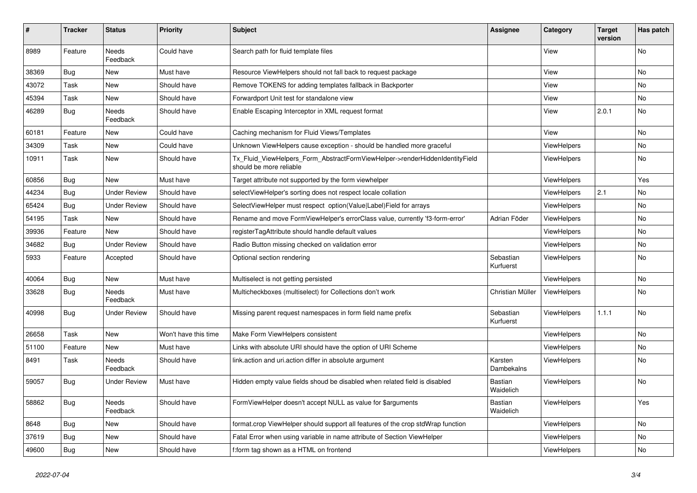| #     | <b>Tracker</b> | <b>Status</b>            | <b>Priority</b>      | <b>Subject</b>                                                                                         | Assignee               | Category           | <b>Target</b><br>version | Has patch |
|-------|----------------|--------------------------|----------------------|--------------------------------------------------------------------------------------------------------|------------------------|--------------------|--------------------------|-----------|
| 8989  | Feature        | <b>Needs</b><br>Feedback | Could have           | Search path for fluid template files                                                                   |                        | View               |                          | <b>No</b> |
| 38369 | <b>Bug</b>     | New                      | Must have            | Resource ViewHelpers should not fall back to request package                                           |                        | View               |                          | No        |
| 43072 | Task           | New                      | Should have          | Remove TOKENS for adding templates fallback in Backporter                                              |                        | View               |                          | No        |
| 45394 | Task           | <b>New</b>               | Should have          | Forwardport Unit test for standalone view                                                              |                        | View               |                          | <b>No</b> |
| 46289 | <b>Bug</b>     | <b>Needs</b><br>Feedback | Should have          | Enable Escaping Interceptor in XML request format                                                      |                        | View               | 2.0.1                    | No        |
| 60181 | Feature        | New                      | Could have           | Caching mechanism for Fluid Views/Templates                                                            |                        | View               |                          | <b>No</b> |
| 34309 | Task           | New                      | Could have           | Unknown ViewHelpers cause exception - should be handled more graceful                                  |                        | <b>ViewHelpers</b> |                          | <b>No</b> |
| 10911 | Task           | New                      | Should have          | Tx_Fluid_ViewHelpers_Form_AbstractFormViewHelper->renderHiddenIdentityField<br>should be more reliable |                        | ViewHelpers        |                          | No        |
| 60856 | <b>Bug</b>     | <b>New</b>               | Must have            | Target attribute not supported by the form viewhelper                                                  |                        | <b>ViewHelpers</b> |                          | Yes       |
| 44234 | <b>Bug</b>     | <b>Under Review</b>      | Should have          | selectViewHelper's sorting does not respect locale collation                                           |                        | ViewHelpers        | 2.1                      | No        |
| 65424 | Bug            | <b>Under Review</b>      | Should have          | SelectViewHelper must respect option(Value Label)Field for arrays                                      |                        | ViewHelpers        |                          | <b>No</b> |
| 54195 | Task           | <b>New</b>               | Should have          | Rename and move FormViewHelper's errorClass value, currently 'f3-form-error'                           | Adrian Föder           | ViewHelpers        |                          | <b>No</b> |
| 39936 | Feature        | <b>New</b>               | Should have          | registerTagAttribute should handle default values                                                      |                        | <b>ViewHelpers</b> |                          | <b>No</b> |
| 34682 | <b>Bug</b>     | Under Review             | Should have          | Radio Button missing checked on validation error                                                       |                        | <b>ViewHelpers</b> |                          | No        |
| 5933  | Feature        | Accepted                 | Should have          | Optional section rendering                                                                             | Sebastian<br>Kurfuerst | <b>ViewHelpers</b> |                          | <b>No</b> |
| 40064 | Bug            | New                      | Must have            | Multiselect is not getting persisted                                                                   |                        | ViewHelpers        |                          | No        |
| 33628 | <b>Bug</b>     | Needs<br>Feedback        | Must have            | Multicheckboxes (multiselect) for Collections don't work                                               | Christian Müller       | ViewHelpers        |                          | No        |
| 40998 | Bug            | Under Review             | Should have          | Missing parent request namespaces in form field name prefix                                            | Sebastian<br>Kurfuerst | <b>ViewHelpers</b> | 1.1.1                    | <b>No</b> |
| 26658 | Task           | <b>New</b>               | Won't have this time | Make Form ViewHelpers consistent                                                                       |                        | ViewHelpers        |                          | <b>No</b> |
| 51100 | Feature        | New                      | Must have            | Links with absolute URI should have the option of URI Scheme                                           |                        | <b>ViewHelpers</b> |                          | <b>No</b> |
| 8491  | Task           | Needs<br>Feedback        | Should have          | link.action and uri.action differ in absolute argument                                                 | Karsten<br>Dambekalns  | <b>ViewHelpers</b> |                          | <b>No</b> |
| 59057 | <b>Bug</b>     | <b>Under Review</b>      | Must have            | Hidden empty value fields shoud be disabled when related field is disabled                             | Bastian<br>Waidelich   | ViewHelpers        |                          | No        |
| 58862 | <b>Bug</b>     | <b>Needs</b><br>Feedback | Should have          | FormViewHelper doesn't accept NULL as value for \$arguments                                            | Bastian<br>Waidelich   | ViewHelpers        |                          | Yes       |
| 8648  | <b>Bug</b>     | New                      | Should have          | format.crop ViewHelper should support all features of the crop stdWrap function                        |                        | <b>ViewHelpers</b> |                          | <b>No</b> |
| 37619 | Bug            | <b>New</b>               | Should have          | Fatal Error when using variable in name attribute of Section ViewHelper                                |                        | ViewHelpers        |                          | <b>No</b> |
| 49600 | Bug            | New                      | Should have          | f:form tag shown as a HTML on frontend                                                                 |                        | ViewHelpers        |                          | <b>No</b> |